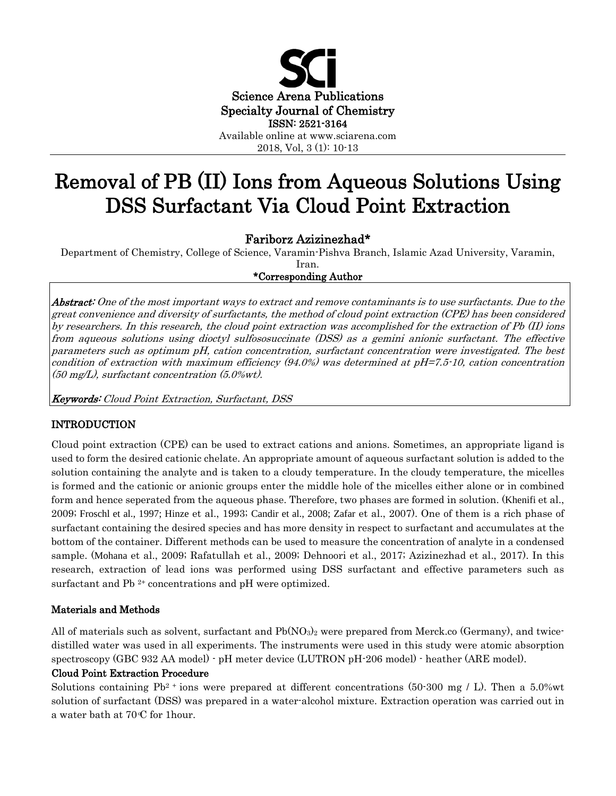

2018, Vol, 3 (1): 10-13

# Removal of PB (II) Ions from Aqueous Solutions Using DSS Surfactant Via Cloud Point Extraction

Fariborz Azizinezhad\*

Department of Chemistry, College of Science, Varamin-Pishva Branch, Islamic Azad University, Varamin, Iran.

\*Corresponding Author

 $\it Abstract:$  One of the most important ways to extract and remove contaminants is to use surfactants. Due to the great convenience and diversity of surfactants, the method of cloud point extraction (CPE) has been considered by researchers. In this research, the cloud point extraction was accomplished for the extraction of Pb (II) ions from aqueous solutions using dioctyl sulfososuccinate (DSS) as a gemini anionic surfactant. The effective parameters such as optimum pH, cation concentration, surfactant concentration were investigated. The best condition of extraction with maximum efficiency (94.0%) was determined at pH=7.5-10, cation concentration (50 mg/L), surfactant concentration (5.0%wt).

Keywords: Cloud Point Extraction, Surfactant, DSS

## INTRODUCTION

Cloud point extraction (CPE) can be used to extract cations and anions. Sometimes, an appropriate ligand is used to form the desired cationic chelate. An appropriate amount of aqueous surfactant solution is added to the solution containing the analyte and is taken to a cloudy temperature. In the cloudy temperature, the micelles is formed and the cationic or anionic groups enter the middle hole of the micelles either alone or in combined form and hence seperated from the aqueous phase. Therefore, two phases are formed in solution. (Khenifi et al., 2009; Froschl et al., 1997; Hinze et al., 1993; Candir et al., 2008; Zafar et al., 2007). One of them is a rich phase of surfactant containing the desired species and has more density in respect to surfactant and accumulates at the bottom of the container. Different methods can be used to measure the concentration of analyte in a condensed sample. (Mohana et al., 2009; Rafatullah et al., 2009; Dehnoori et al., 2017; Azizinezhad et al., 2017). In this research, extraction of lead ions was performed using DSS surfactant and effective parameters such as surfactant and Pb<sup>2+</sup> concentrations and pH were optimized.

## Materials and Methods

All of materials such as solvent, surfactant and  $Pb(NO<sub>3</sub>)<sub>2</sub>$  were prepared from Merck.co (Germany), and twicedistilled water was used in all experiments. The instruments were used in this study were atomic absorption spectroscopy (GBC 932 AA model) - pH meter device (LUTRON pH-206 model) - heather (ARE model).

## Cloud Point Extraction Procedure

Solutions containing  $Pb^2$  ions were prepared at different concentrations (50.300 mg / L). Then a 5.0% wt solution of surfactant (DSS) was prepared in a water-alcohol mixture. Extraction operation was carried out in a water bath at  $70 \text{ }^{\circ}$  C for 1 hour.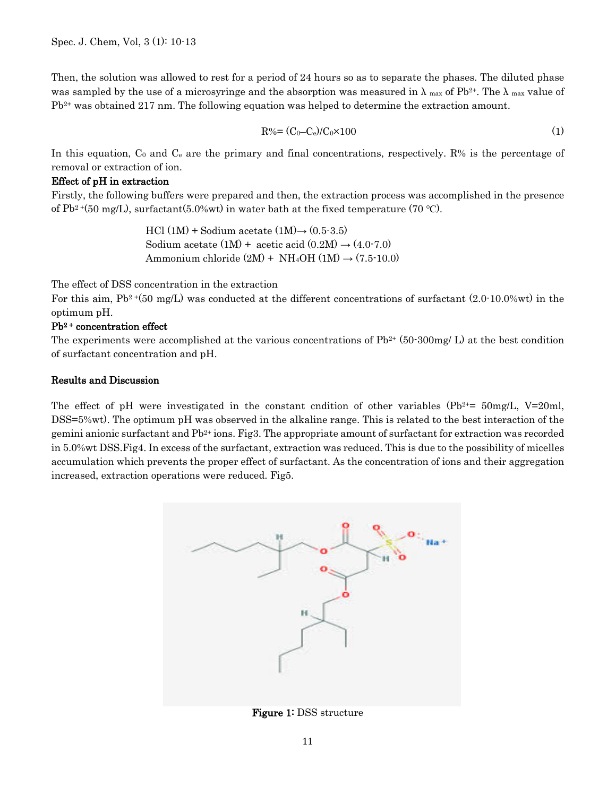Then, the solution was allowed to rest for a period of 24 hours so as to separate the phases. The diluted phase was sampled by the use of a microsyringe and the absorption was measured in  $\lambda$  max of Pb<sup>2+</sup>. The  $\lambda$  max value of  $Pb^{2+}$  was obtained 217 nm. The following equation was helped to determine the extraction amount.

$$
R\% = (C_0 - C_e)/C_0 \times 100
$$
 (1)

In this equation,  $C_0$  and  $C_e$  are the primary and final concentrations, respectively. R% is the percentage of removal or extraction of ion.

#### Effect of pH in extraction

Firstly, the following buffers were prepared and then, the extraction process was accomplished in the presence of Pb<sup>2+</sup>(50 mg/L), surfactant(5.0%wt) in water bath at the fixed temperature (70 °C).

> HCl  $(1M)$  + Sodium acetate  $(1M) \rightarrow (0.5-3.5)$ Sodium acetate  $(1M)$  + acetic acid  $(0.2M) \rightarrow (4.0-7.0)$ Ammonium chloride  $(2M)$  + NH<sub>4</sub>OH  $(1M)$   $\rightarrow$   $(7.5 \cdot 10.0)$

The effect of DSS concentration in the extraction

For this aim,  $Pb^2+(50 \text{ mg/L})$  was conducted at the different concentrations of surfactant  $(2.0\text{-}10.0\% \text{wt})$  in the optimum pH.

## Pb2 + concentration effect

The experiments were accomplished at the various concentrations of  $Pb^{2+}$  (50-300mg/ L) at the best condition of surfactant concentration and pH.

#### Results and Discussion

The effect of pH were investigated in the constant cndition of other variables  $(Pb^{2+}=50mg/L, V=20mL)$ DSS=5%wt). The optimum pH was observed in the alkaline range. This is related to the best interaction of the gemini anionic surfactant and  $Pb^{2+}$  ions. Fig3. The appropriate amount of surfactant for extraction was recorded in 5.0%wt DSS.Fig4. In excess of the surfactant, extraction was reduced. This is due to the possibility of micelles accumulation which prevents the proper effect of surfactant. As the concentration of ions and their aggregation increased, extraction operations were reduced. Fig5.



Figure 1: DSS structure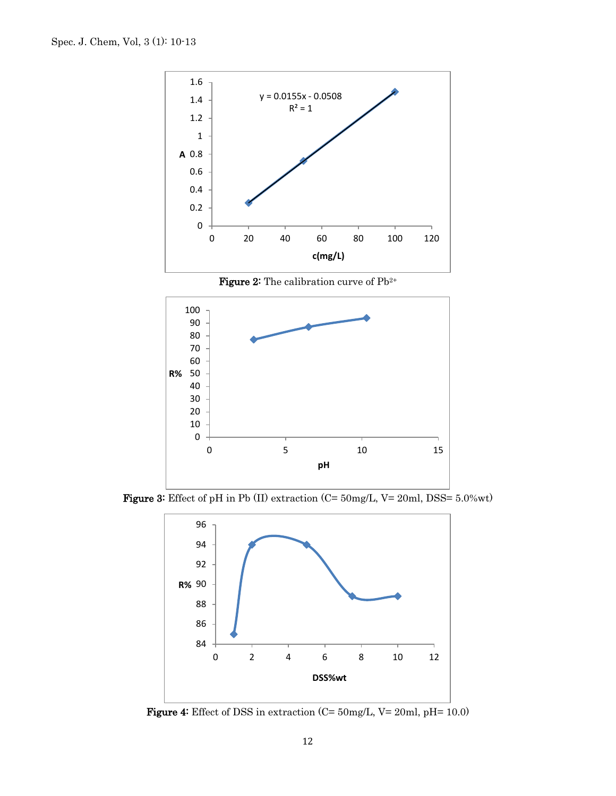

**Figure 2:** The calibration curve of  $Pb^{2+}$ 



Figure 3: Effect of pH in Pb (II) extraction (C= 50mg/L, V= 20ml, DSS= 5.0%wt)



Figure 4: Effect of DSS in extraction (C= 50mg/L, V= 20ml, pH= 10.0)